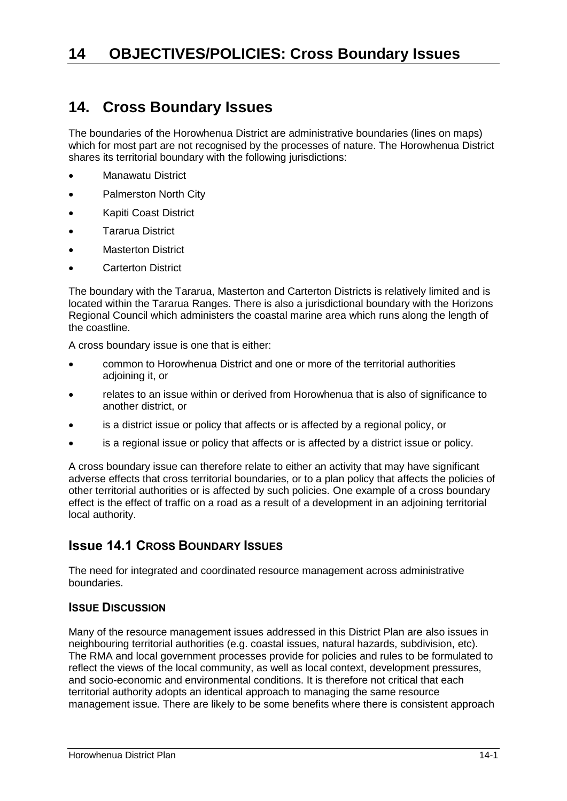## **14. Cross Boundary Issues**

The boundaries of the Horowhenua District are administrative boundaries (lines on maps) which for most part are not recognised by the processes of nature. The Horowhenua District shares its territorial boundary with the following jurisdictions:

- Manawatu District
- Palmerston North City
- Kapiti Coast District
- Tararua District
- **•** Masterton District
- Carterton District

The boundary with the Tararua, Masterton and Carterton Districts is relatively limited and is located within the Tararua Ranges. There is also a jurisdictional boundary with the Horizons Regional Council which administers the coastal marine area which runs along the length of the coastline.

A cross boundary issue is one that is either:

- common to Horowhenua District and one or more of the territorial authorities adjoining it, or
- relates to an issue within or derived from Horowhenua that is also of significance to another district, or
- is a district issue or policy that affects or is affected by a regional policy, or
- is a regional issue or policy that affects or is affected by a district issue or policy.

A cross boundary issue can therefore relate to either an activity that may have significant adverse effects that cross territorial boundaries, or to a plan policy that affects the policies of other territorial authorities or is affected by such policies. One example of a cross boundary effect is the effect of traffic on a road as a result of a development in an adjoining territorial local authority.

## **Issue 14.1 CROSS BOUNDARY ISSUES**

The need for integrated and coordinated resource management across administrative boundaries.

#### **ISSUE DISCUSSION**

Many of the resource management issues addressed in this District Plan are also issues in neighbouring territorial authorities (e.g. coastal issues, natural hazards, subdivision, etc). The RMA and local government processes provide for policies and rules to be formulated to reflect the views of the local community, as well as local context, development pressures, and socio-economic and environmental conditions. It is therefore not critical that each territorial authority adopts an identical approach to managing the same resource management issue. There are likely to be some benefits where there is consistent approach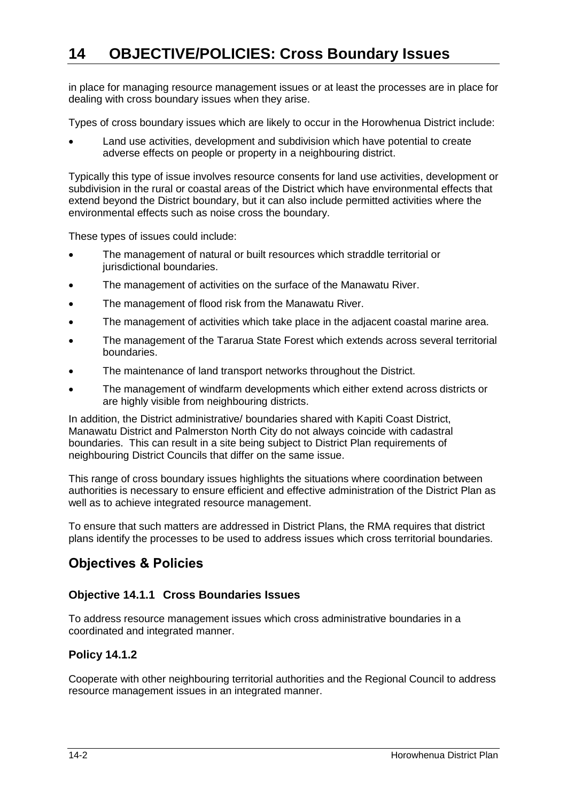# **14 OBJECTIVE/POLICIES: Cross Boundary Issues**

in place for managing resource management issues or at least the processes are in place for dealing with cross boundary issues when they arise.

Types of cross boundary issues which are likely to occur in the Horowhenua District include:

 Land use activities, development and subdivision which have potential to create adverse effects on people or property in a neighbouring district.

Typically this type of issue involves resource consents for land use activities, development or subdivision in the rural or coastal areas of the District which have environmental effects that extend beyond the District boundary, but it can also include permitted activities where the environmental effects such as noise cross the boundary.

These types of issues could include:

- The management of natural or built resources which straddle territorial or jurisdictional boundaries.
- The management of activities on the surface of the Manawatu River.
- The management of flood risk from the Manawatu River.
- The management of activities which take place in the adjacent coastal marine area.
- The management of the Tararua State Forest which extends across several territorial boundaries.
- The maintenance of land transport networks throughout the District.
- The management of windfarm developments which either extend across districts or are highly visible from neighbouring districts.

In addition, the District administrative/ boundaries shared with Kapiti Coast District, Manawatu District and Palmerston North City do not always coincide with cadastral boundaries. This can result in a site being subject to District Plan requirements of neighbouring District Councils that differ on the same issue.

This range of cross boundary issues highlights the situations where coordination between authorities is necessary to ensure efficient and effective administration of the District Plan as well as to achieve integrated resource management.

To ensure that such matters are addressed in District Plans, the RMA requires that district plans identify the processes to be used to address issues which cross territorial boundaries.

## **Objectives & Policies**

#### **Objective 14.1.1 Cross Boundaries Issues**

To address resource management issues which cross administrative boundaries in a coordinated and integrated manner.

#### **Policy 14.1.2**

Cooperate with other neighbouring territorial authorities and the Regional Council to address resource management issues in an integrated manner.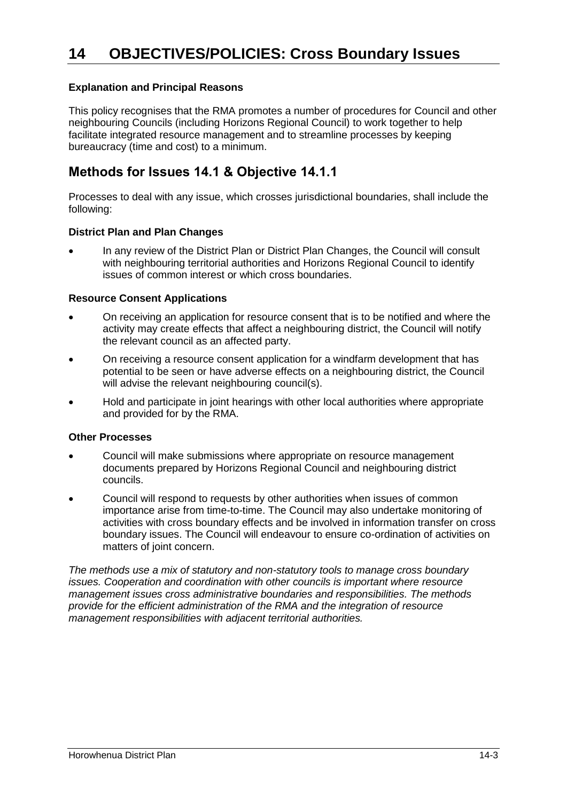#### **Explanation and Principal Reasons**

This policy recognises that the RMA promotes a number of procedures for Council and other neighbouring Councils (including Horizons Regional Council) to work together to help facilitate integrated resource management and to streamline processes by keeping bureaucracy (time and cost) to a minimum.

## **Methods for Issues 14.1 & Objective 14.1.1**

Processes to deal with any issue, which crosses jurisdictional boundaries, shall include the following:

#### **District Plan and Plan Changes**

 In any review of the District Plan or District Plan Changes, the Council will consult with neighbouring territorial authorities and Horizons Regional Council to identify issues of common interest or which cross boundaries.

#### **Resource Consent Applications**

- On receiving an application for resource consent that is to be notified and where the activity may create effects that affect a neighbouring district, the Council will notify the relevant council as an affected party.
- On receiving a resource consent application for a windfarm development that has potential to be seen or have adverse effects on a neighbouring district, the Council will advise the relevant neighbouring council(s).
- Hold and participate in joint hearings with other local authorities where appropriate and provided for by the RMA.

#### **Other Processes**

- Council will make submissions where appropriate on resource management documents prepared by Horizons Regional Council and neighbouring district councils.
- Council will respond to requests by other authorities when issues of common importance arise from time-to-time. The Council may also undertake monitoring of activities with cross boundary effects and be involved in information transfer on cross boundary issues. The Council will endeavour to ensure co-ordination of activities on matters of joint concern.

*The methods use a mix of statutory and non-statutory tools to manage cross boundary issues. Cooperation and coordination with other councils is important where resource management issues cross administrative boundaries and responsibilities. The methods provide for the efficient administration of the RMA and the integration of resource management responsibilities with adjacent territorial authorities.*